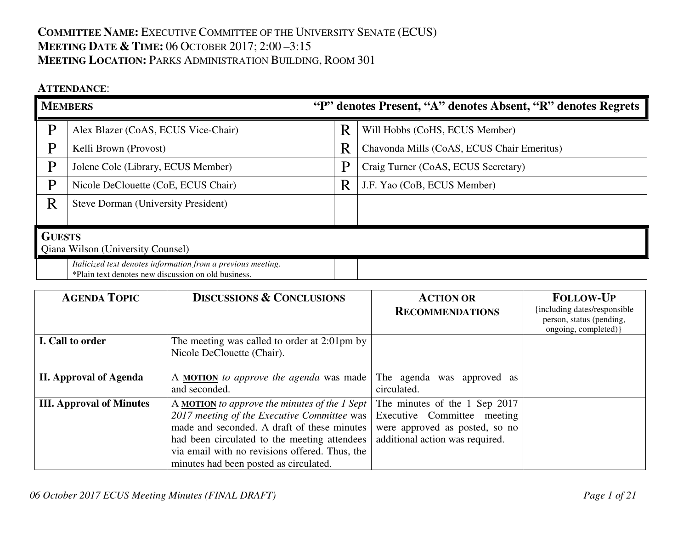## **COMMITTEE NAME:** <sup>E</sup>XECUTIVE COMMITTEE OF THE UNIVERSITY SENATE (ECUS) **MEETING DATE & <sup>T</sup>IME:** <sup>06</sup> <sup>O</sup>CTOBER 2017; 2:00 –3:15 **MEETING LOCATION:** <sup>P</sup>ARKS ADMINISTRATION BUILDING, <sup>R</sup>OOM <sup>301</sup>

## **ATTENDANCE**:

| <b>MEMBERS</b>                           |                                                              |   | "P" denotes Present, "A" denotes Absent, "R" denotes Regrets |  |  |
|------------------------------------------|--------------------------------------------------------------|---|--------------------------------------------------------------|--|--|
| P                                        | Alex Blazer (CoAS, ECUS Vice-Chair)                          | R | Will Hobbs (CoHS, ECUS Member)                               |  |  |
| P                                        | Kelli Brown (Provost)                                        | R | Chavonda Mills (CoAS, ECUS Chair Emeritus)                   |  |  |
| P                                        | Jolene Cole (Library, ECUS Member)                           | P | Craig Turner (CoAS, ECUS Secretary)                          |  |  |
| P                                        | Nicole DeClouette (CoE, ECUS Chair)                          | R | J.F. Yao (CoB, ECUS Member)                                  |  |  |
| R                                        | Steve Dorman (University President)                          |   |                                                              |  |  |
|                                          |                                                              |   |                                                              |  |  |
|                                          | <b>GUESTS</b>                                                |   |                                                              |  |  |
| <b>Qiana Wilson (University Counsel)</b> |                                                              |   |                                                              |  |  |
|                                          | Italicized text denotes information from a previous meeting. |   |                                                              |  |  |
|                                          | *Plain text denotes new discussion on old business.          |   |                                                              |  |  |

| <b>AGENDA TOPIC</b>             | <b>DISCUSSIONS &amp; CONCLUSIONS</b>                                                                                                                                                                                                                                                                   | <b>ACTION OR</b><br><b>RECOMMENDATIONS</b>                                                                                        | <b>FOLLOW-UP</b><br>including dates/responsible<br>person, status (pending, |
|---------------------------------|--------------------------------------------------------------------------------------------------------------------------------------------------------------------------------------------------------------------------------------------------------------------------------------------------------|-----------------------------------------------------------------------------------------------------------------------------------|-----------------------------------------------------------------------------|
| I. Call to order                | The meeting was called to order at 2:01pm by<br>Nicole DeClouette (Chair).                                                                                                                                                                                                                             |                                                                                                                                   | ongoing, completed) }                                                       |
| <b>II. Approval of Agenda</b>   | A MOTION to approve the agenda was made<br>and seconded.                                                                                                                                                                                                                                               | The agenda was<br>approved as<br>circulated.                                                                                      |                                                                             |
| <b>III. Approval of Minutes</b> | A <b>MOTION</b> to approve the minutes of the 1 Sept $\vert$<br>2017 meeting of the Executive Committee was<br>made and seconded. A draft of these minutes<br>had been circulated to the meeting attendees<br>via email with no revisions offered. Thus, the<br>minutes had been posted as circulated. | The minutes of the 1 Sep 2017<br>Executive Committee meeting<br>were approved as posted, so no<br>additional action was required. |                                                                             |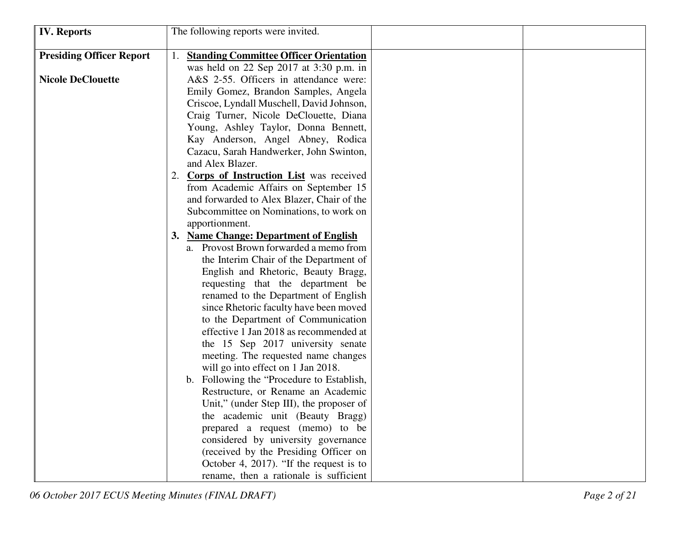| <b>IV.</b> Reports              | The following reports were invited.           |
|---------------------------------|-----------------------------------------------|
| <b>Presiding Officer Report</b> | <b>Standing Committee Officer Orientation</b> |
|                                 | was held on 22 Sep 2017 at 3:30 p.m. in       |
| <b>Nicole DeClouette</b>        | A&S 2-55. Officers in attendance were:        |
|                                 | Emily Gomez, Brandon Samples, Angela          |
|                                 | Criscoe, Lyndall Muschell, David Johnson,     |
|                                 | Craig Turner, Nicole DeClouette, Diana        |
|                                 | Young, Ashley Taylor, Donna Bennett,          |
|                                 | Kay Anderson, Angel Abney, Rodica             |
|                                 | Cazacu, Sarah Handwerker, John Swinton,       |
|                                 | and Alex Blazer.                              |
|                                 | <b>Corps of Instruction List</b> was received |
|                                 | from Academic Affairs on September 15         |
|                                 | and forwarded to Alex Blazer, Chair of the    |
|                                 | Subcommittee on Nominations, to work on       |
|                                 | apportionment.                                |
|                                 | 3. Name Change: Department of English         |
|                                 | a. Provost Brown forwarded a memo from        |
|                                 | the Interim Chair of the Department of        |
|                                 | English and Rhetoric, Beauty Bragg,           |
|                                 | requesting that the department be             |
|                                 | renamed to the Department of English          |
|                                 | since Rhetoric faculty have been moved        |
|                                 | to the Department of Communication            |
|                                 | effective 1 Jan 2018 as recommended at        |
|                                 | the 15 Sep 2017 university senate             |
|                                 | meeting. The requested name changes           |
|                                 | will go into effect on 1 Jan 2018.            |
|                                 | b. Following the "Procedure to Establish,     |
|                                 | Restructure, or Rename an Academic            |
|                                 | Unit," (under Step III), the proposer of      |
|                                 | the academic unit (Beauty Bragg)              |
|                                 | prepared a request (memo) to be               |
|                                 | considered by university governance           |
|                                 | (received by the Presiding Officer on         |
|                                 | October 4, 2017). "If the request is to       |
|                                 | rename, then a rationale is sufficient        |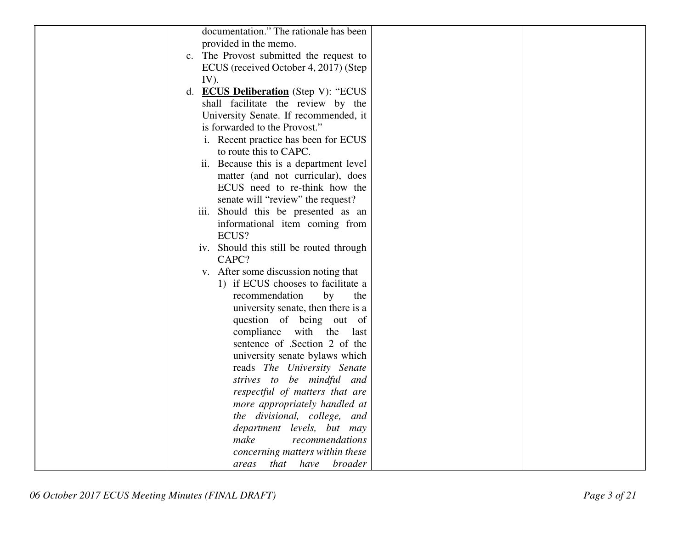| documentation." The rationale has been      |  |
|---------------------------------------------|--|
| provided in the memo.                       |  |
| c. The Provost submitted the request to     |  |
|                                             |  |
| ECUS (received October 4, 2017) (Step       |  |
| $IV$ ).                                     |  |
| d. <b>ECUS Deliberation</b> (Step V): "ECUS |  |
| shall facilitate the review by the          |  |
| University Senate. If recommended, it       |  |
| is forwarded to the Provost."               |  |
| i. Recent practice has been for ECUS        |  |
| to route this to CAPC.                      |  |
| ii. Because this is a department level      |  |
| matter (and not curricular), does           |  |
| ECUS need to re-think how the               |  |
| senate will "review" the request?           |  |
| iii. Should this be presented as an         |  |
| informational item coming from              |  |
| ECUS?                                       |  |
| iv. Should this still be routed through     |  |
| CAPC?                                       |  |
| v. After some discussion noting that        |  |
| 1) if ECUS chooses to facilitate a          |  |
| recommendation<br>by<br>the                 |  |
| university senate, then there is a          |  |
| question of being out of                    |  |
| compliance with the<br>last                 |  |
| sentence of .Section 2 of the               |  |
| university senate bylaws which              |  |
| reads The University Senate                 |  |
| strives to be mindful and                   |  |
| respectful of matters that are              |  |
| more appropriately handled at               |  |
| the divisional, college, and                |  |
| department levels, but may                  |  |
| make<br>recommendations                     |  |
| concerning matters within these             |  |
| that have broader<br>areas                  |  |
|                                             |  |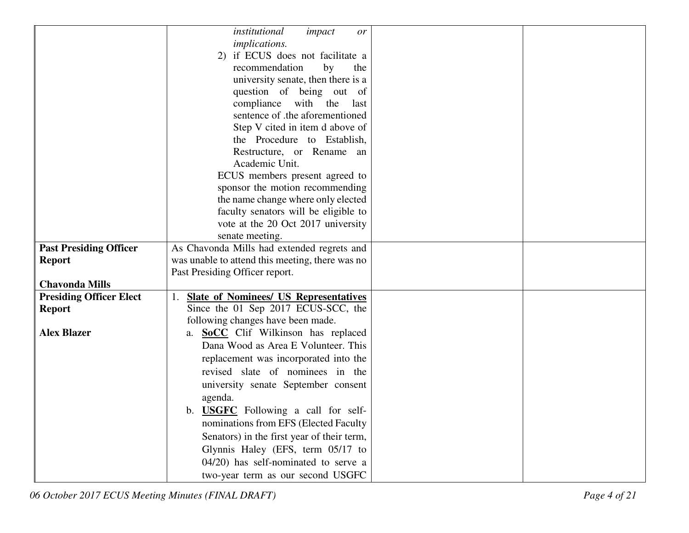|                                | institutional<br>impact<br>or                   |  |
|--------------------------------|-------------------------------------------------|--|
|                                | <i>implications.</i>                            |  |
|                                | 2) if ECUS does not facilitate a                |  |
|                                | recommendation<br>by<br>the                     |  |
|                                | university senate, then there is a              |  |
|                                | question of being out of                        |  |
|                                | compliance with the<br>last                     |  |
|                                | sentence of .the aforementioned                 |  |
|                                | Step V cited in item d above of                 |  |
|                                | the Procedure to Establish,                     |  |
|                                | Restructure, or Rename an                       |  |
|                                | Academic Unit.                                  |  |
|                                | ECUS members present agreed to                  |  |
|                                | sponsor the motion recommending                 |  |
|                                | the name change where only elected              |  |
|                                | faculty senators will be eligible to            |  |
|                                | vote at the 20 Oct 2017 university              |  |
|                                | senate meeting.                                 |  |
| <b>Past Presiding Officer</b>  | As Chavonda Mills had extended regrets and      |  |
| <b>Report</b>                  | was unable to attend this meeting, there was no |  |
|                                | Past Presiding Officer report.                  |  |
| <b>Chavonda Mills</b>          |                                                 |  |
| <b>Presiding Officer Elect</b> | <b>Slate of Nominees/ US Representatives</b>    |  |
| <b>Report</b>                  | Since the 01 Sep 2017 ECUS-SCC, the             |  |
|                                | following changes have been made.               |  |
| <b>Alex Blazer</b>             | <b>SoCC</b> Clif Wilkinson has replaced<br>a.   |  |
|                                | Dana Wood as Area E Volunteer. This             |  |
|                                | replacement was incorporated into the           |  |
|                                | revised slate of nominees in the                |  |
|                                | university senate September consent             |  |
|                                | agenda.                                         |  |
|                                | b. <b>USGFC</b> Following a call for self-      |  |
|                                | nominations from EFS (Elected Faculty           |  |
|                                | Senators) in the first year of their term,      |  |
|                                | Glynnis Haley (EFS, term 05/17 to               |  |
|                                | 04/20) has self-nominated to serve a            |  |
|                                | two-year term as our second USGFC               |  |
|                                |                                                 |  |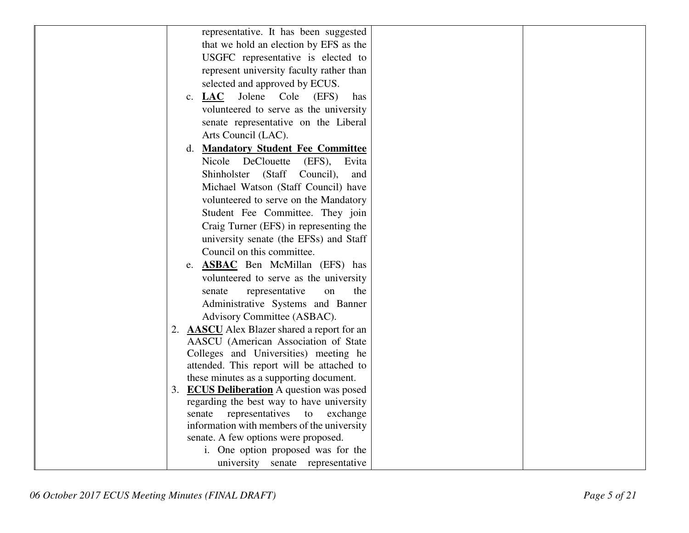| representative. It has been suggested                 |
|-------------------------------------------------------|
| that we hold an election by EFS as the                |
| USGFC representative is elected to                    |
| represent university faculty rather than              |
| selected and approved by ECUS.                        |
| c. LAC Jolene<br>Cole<br>(EFS)<br>has                 |
| volunteered to serve as the university                |
| senate representative on the Liberal                  |
| Arts Council (LAC).                                   |
| <b>Mandatory Student Fee Committee</b><br>d.          |
| Nicole DeClouette<br>(EFS), Evita                     |
| Shinholster (Staff Council),<br>and                   |
| Michael Watson (Staff Council) have                   |
| volunteered to serve on the Mandatory                 |
| Student Fee Committee. They join                      |
| Craig Turner (EFS) in representing the                |
| university senate (the EFSs) and Staff                |
| Council on this committee.                            |
| e. <b>ASBAC</b> Ben McMillan (EFS) has                |
| volunteered to serve as the university                |
| representative<br>on<br>senate<br>the                 |
| Administrative Systems and Banner                     |
| Advisory Committee (ASBAC).                           |
| <b>AASCU</b> Alex Blazer shared a report for an<br>2. |
| AASCU (American Association of State                  |
| Colleges and Universities) meeting he                 |
| attended. This report will be attached to             |
| these minutes as a supporting document.               |
| <b>ECUS Deliberation</b> A question was posed<br>3.   |
| regarding the best way to have university             |
| representatives<br>senate<br>to<br>exchange           |
| information with members of the university            |
| senate. A few options were proposed.                  |
| i. One option proposed was for the                    |
| university senate representative                      |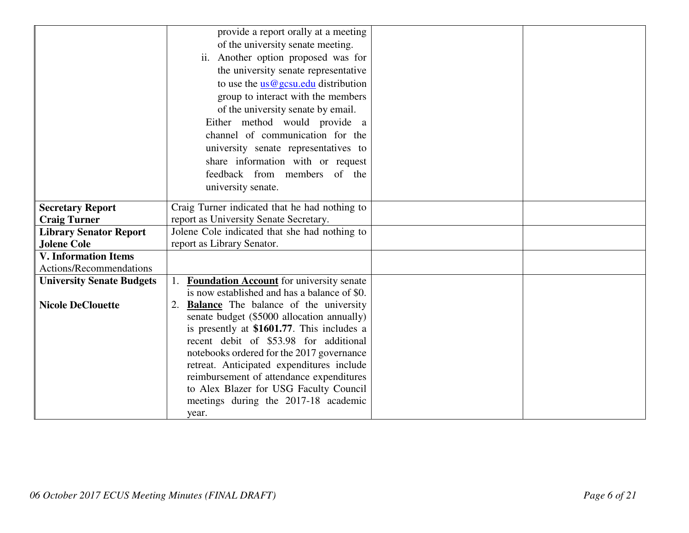|                                                   | provide a report orally at a meeting            |
|---------------------------------------------------|-------------------------------------------------|
|                                                   | of the university senate meeting.               |
|                                                   | ii. Another option proposed was for             |
|                                                   | the university senate representative            |
|                                                   | to use the $us@gesu.edu$ distribution           |
|                                                   | group to interact with the members              |
|                                                   | of the university senate by email.              |
|                                                   | Either method would provide a                   |
|                                                   | channel of communication for the                |
|                                                   | university senate representatives to            |
|                                                   | share information with or request               |
|                                                   | feedback from members of the                    |
|                                                   | university senate.                              |
|                                                   |                                                 |
| <b>Secretary Report</b>                           | Craig Turner indicated that he had nothing to   |
| <b>Craig Turner</b>                               | report as University Senate Secretary.          |
| <b>Library Senator Report</b>                     | Jolene Cole indicated that she had nothing to   |
| <b>Jolene Cole</b><br><b>V. Information Items</b> | report as Library Senator.                      |
| Actions/Recommendations                           |                                                 |
| <b>University Senate Budgets</b>                  | <b>Foundation Account</b> for university senate |
|                                                   | is now established and has a balance of \$0.    |
| <b>Nicole DeClouette</b>                          | <b>Balance</b> The balance of the university    |
|                                                   | senate budget (\$5000 allocation annually)      |
|                                                   | is presently at \$1601.77. This includes a      |
|                                                   | recent debit of \$53.98 for additional          |
|                                                   | notebooks ordered for the 2017 governance       |
|                                                   | retreat. Anticipated expenditures include       |
|                                                   | reimbursement of attendance expenditures        |
|                                                   | to Alex Blazer for USG Faculty Council          |
|                                                   | meetings during the 2017-18 academic            |
|                                                   | year.                                           |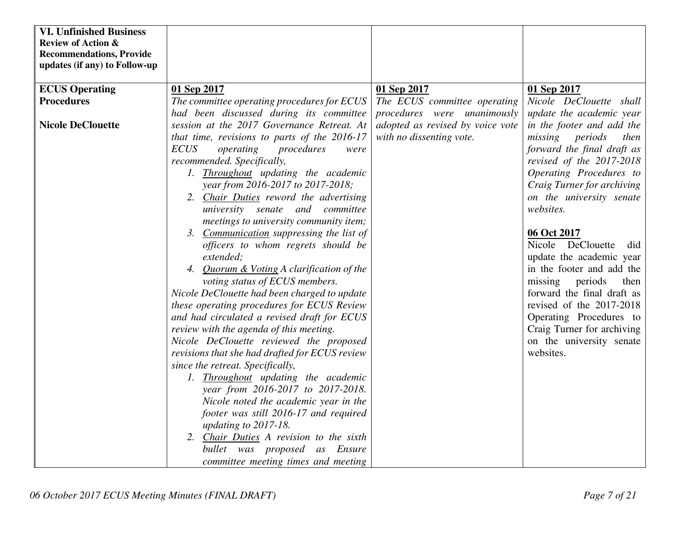| <b>VI. Unfinished Business</b>  |                                                |                                  |                            |
|---------------------------------|------------------------------------------------|----------------------------------|----------------------------|
| <b>Review of Action &amp;</b>   |                                                |                                  |                            |
| <b>Recommendations, Provide</b> |                                                |                                  |                            |
| updates (if any) to Follow-up   |                                                |                                  |                            |
| <b>ECUS Operating</b>           | 01 Sep 2017                                    | 01 Sep 2017                      | 01 Sep 2017                |
| <b>Procedures</b>               | The committee operating procedures for ECUS    | The ECUS committee operating     | Nicole DeClouette shall    |
|                                 | had been discussed during its committee        | procedures were unanimously      | update the academic year   |
| <b>Nicole DeClouette</b>        | session at the 2017 Governance Retreat. At     | adopted as revised by voice vote | in the footer and add the  |
|                                 | that time, revisions to parts of the 2016-17   | with no dissenting vote.         | missing periods<br>then    |
|                                 | <b>ECUS</b><br>operating<br>procedures         |                                  | forward the final draft as |
|                                 | were<br>recommended. Specifically,             |                                  | revised of the 2017-2018   |
|                                 | 1. Throughout updating the academic            |                                  | Operating Procedures to    |
|                                 | year from 2016-2017 to 2017-2018;              |                                  | Craig Turner for archiving |
|                                 | 2. Chair Duties reword the advertising         |                                  | on the university senate   |
|                                 | university senate and committee                |                                  | websites.                  |
|                                 | meetings to university community item;         |                                  |                            |
|                                 | 3. Communication suppressing the list of       |                                  | 06 Oct 2017                |
|                                 | officers to whom regrets should be             |                                  | Nicole DeClouette<br>did   |
|                                 | extended;                                      |                                  | update the academic year   |
|                                 | 4. Quorum & Voting A clarification of the      |                                  | in the footer and add the  |
|                                 | voting status of ECUS members.                 |                                  | missing<br>periods<br>then |
|                                 | Nicole DeClouette had been charged to update   |                                  | forward the final draft as |
|                                 | these operating procedures for ECUS Review     |                                  | revised of the 2017-2018   |
|                                 | and had circulated a revised draft for ECUS    |                                  | Operating Procedures to    |
|                                 | review with the agenda of this meeting.        |                                  | Craig Turner for archiving |
|                                 | Nicole DeClouette reviewed the proposed        |                                  | on the university senate   |
|                                 | revisions that she had drafted for ECUS review |                                  | websites.                  |
|                                 | since the retreat. Specifically,               |                                  |                            |
|                                 | 1. Throughout updating the academic            |                                  |                            |
|                                 | year from 2016-2017 to 2017-2018.              |                                  |                            |
|                                 | Nicole noted the academic year in the          |                                  |                            |
|                                 | footer was still 2016-17 and required          |                                  |                            |
|                                 | updating to 2017-18.                           |                                  |                            |
|                                 | 2. Chair Duties A revision to the sixth        |                                  |                            |
|                                 | bullet was proposed as Ensure                  |                                  |                            |
|                                 | committee meeting times and meeting            |                                  |                            |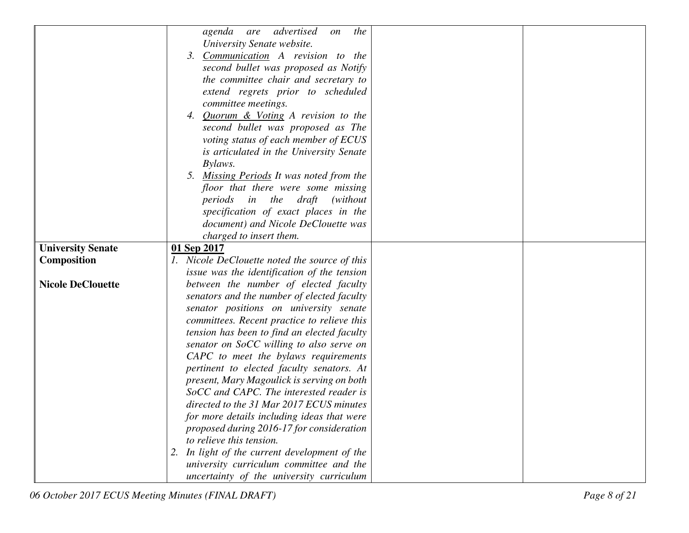|                          | agenda are advertised<br>the<br>on            |
|--------------------------|-----------------------------------------------|
|                          | University Senate website.                    |
|                          | Communication A revision to the<br>3.         |
|                          | second bullet was proposed as Notify          |
|                          | the committee chair and secretary to          |
|                          | extend regrets prior to scheduled             |
|                          | committee meetings.                           |
|                          | 4. Quorum & Voting A revision to the          |
|                          | second bullet was proposed as The             |
|                          | voting status of each member of ECUS          |
|                          | is articulated in the University Senate       |
|                          | Bylaws.                                       |
|                          | 5. Missing Periods It was noted from the      |
|                          | floor that there were some missing            |
|                          | periods in the draft<br>(without)             |
|                          | specification of exact places in the          |
|                          | document) and Nicole DeClouette was           |
|                          | charged to insert them.                       |
| <b>University Senate</b> | 01 Sep 2017                                   |
| <b>Composition</b>       | 1. Nicole DeClouette noted the source of this |
|                          | issue was the identification of the tension   |
| <b>Nicole DeClouette</b> | between the number of elected faculty         |
|                          | senators and the number of elected faculty    |
|                          | senator positions on university senate        |
|                          | committees. Recent practice to relieve this   |
|                          | tension has been to find an elected faculty   |
|                          | senator on SoCC willing to also serve on      |
|                          | CAPC to meet the bylaws requirements          |
|                          | pertinent to elected faculty senators. At     |
|                          | present, Mary Magoulick is serving on both    |
|                          | SoCC and CAPC. The interested reader is       |
|                          | directed to the 31 Mar 2017 ECUS minutes      |
|                          | for more details including ideas that were    |
|                          | proposed during 2016-17 for consideration     |
|                          | to relieve this tension.                      |
|                          | 2. In light of the current development of the |
|                          | university curriculum committee and the       |
|                          | uncertainty of the university curriculum      |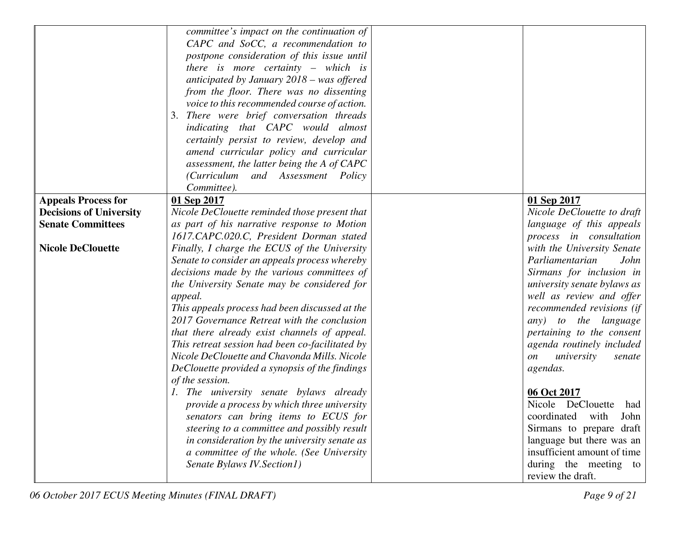|                                | committee's impact on the continuation of                                                     |                                   |
|--------------------------------|-----------------------------------------------------------------------------------------------|-----------------------------------|
|                                | CAPC and SoCC, a recommendation to                                                            |                                   |
|                                | postpone consideration of this issue until                                                    |                                   |
|                                | there is more certainty $-$ which is                                                          |                                   |
|                                | anticipated by January $2018 - was$ offered                                                   |                                   |
|                                | from the floor. There was no dissenting                                                       |                                   |
|                                | voice to this recommended course of action.                                                   |                                   |
|                                | There were brief conversation threads<br>3.                                                   |                                   |
|                                | indicating that CAPC would almost                                                             |                                   |
|                                | certainly persist to review, develop and                                                      |                                   |
|                                | amend curricular policy and curricular                                                        |                                   |
|                                | assessment, the latter being the A of CAPC                                                    |                                   |
|                                | (Curriculum and Assessment Policy                                                             |                                   |
|                                | Committee).                                                                                   |                                   |
| <b>Appeals Process for</b>     | 01 Sep 2017                                                                                   | 01 Sep 2017                       |
| <b>Decisions of University</b> | Nicole DeClouette reminded those present that                                                 | Nicole DeClouette to draft        |
| <b>Senate Committees</b>       | as part of his narrative response to Motion                                                   | language of this appeals          |
|                                | 1617.CAPC.020.C, President Dorman stated                                                      | process in consultation           |
| <b>Nicole DeClouette</b>       | Finally, I charge the ECUS of the University                                                  | with the University Senate        |
|                                | Senate to consider an appeals process whereby                                                 | Parliamentarian<br>John           |
|                                | decisions made by the various committees of                                                   | Sirmans for inclusion in          |
|                                | the University Senate may be considered for                                                   | university senate bylaws as       |
|                                |                                                                                               | well as review and offer          |
|                                | appeal.                                                                                       |                                   |
|                                | This appeals process had been discussed at the<br>2017 Governance Retreat with the conclusion | recommended revisions (if         |
|                                |                                                                                               | any) to the language              |
|                                | that there already exist channels of appeal.                                                  | pertaining to the consent         |
|                                | This retreat session had been co-facilitated by                                               | agenda routinely included         |
|                                | Nicole DeClouette and Chavonda Mills. Nicole                                                  | university<br><i>on</i><br>senate |
|                                | DeClouette provided a synopsis of the findings                                                | agendas.                          |
|                                | of the session.                                                                               |                                   |
|                                | 1. The university senate bylaws already                                                       | 06 Oct 2017                       |
|                                | provide a process by which three university                                                   | Nicole DeClouette had             |
|                                | senators can bring items to ECUS for                                                          | coordinated with John             |
|                                | steering to a committee and possibly result                                                   | Sirmans to prepare draft          |
|                                | in consideration by the university senate as                                                  | language but there was an         |
|                                | a committee of the whole. (See University                                                     | insufficient amount of time       |
|                                | Senate Bylaws IV. Section1)                                                                   | during the meeting to             |
|                                |                                                                                               | review the draft.                 |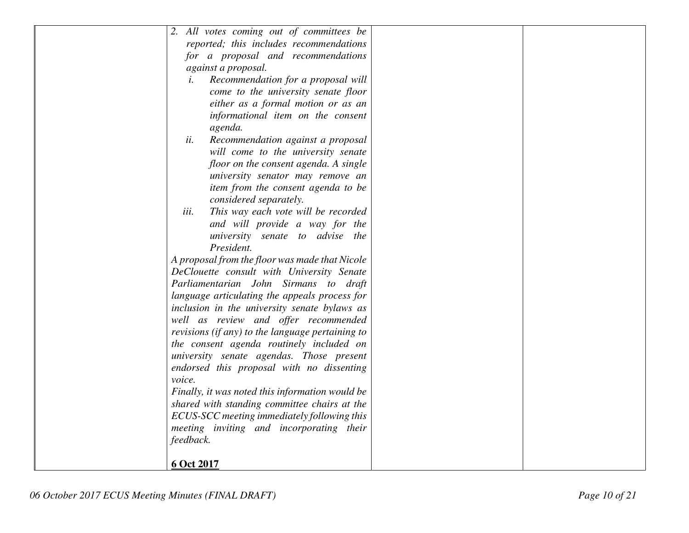|            | 2. All votes coming out of committees be         |  |
|------------|--------------------------------------------------|--|
|            | reported; this includes recommendations          |  |
|            | for a proposal and recommendations               |  |
|            | against a proposal.                              |  |
| i.         | Recommendation for a proposal will               |  |
|            | come to the university senate floor              |  |
|            | either as a formal motion or as an               |  |
|            | informational item on the consent                |  |
|            | agenda.                                          |  |
| ii.        | Recommendation against a proposal                |  |
|            | will come to the university senate               |  |
|            | floor on the consent agenda. A single            |  |
|            | university senator may remove an                 |  |
|            | item from the consent agenda to be               |  |
|            | considered separately.                           |  |
| iii.       | This way each vote will be recorded              |  |
|            | and will provide a way for the                   |  |
|            | university senate to advise the                  |  |
|            | President.                                       |  |
|            | A proposal from the floor was made that Nicole   |  |
|            | DeClouette consult with University Senate        |  |
|            | Parliamentarian John Sirmans to draft            |  |
|            | language articulating the appeals process for    |  |
|            | inclusion in the university senate bylaws as     |  |
|            | well as review and offer recommended             |  |
|            | revisions (if any) to the language pertaining to |  |
|            | the consent agenda routinely included on         |  |
|            | university senate agendas. Those present         |  |
|            | endorsed this proposal with no dissenting        |  |
| voice.     |                                                  |  |
|            | Finally, it was noted this information would be  |  |
|            | shared with standing committee chairs at the     |  |
|            | ECUS-SCC meeting immediately following this      |  |
|            | meeting inviting and incorporating their         |  |
| feedback.  |                                                  |  |
|            |                                                  |  |
| 6 Oct 2017 |                                                  |  |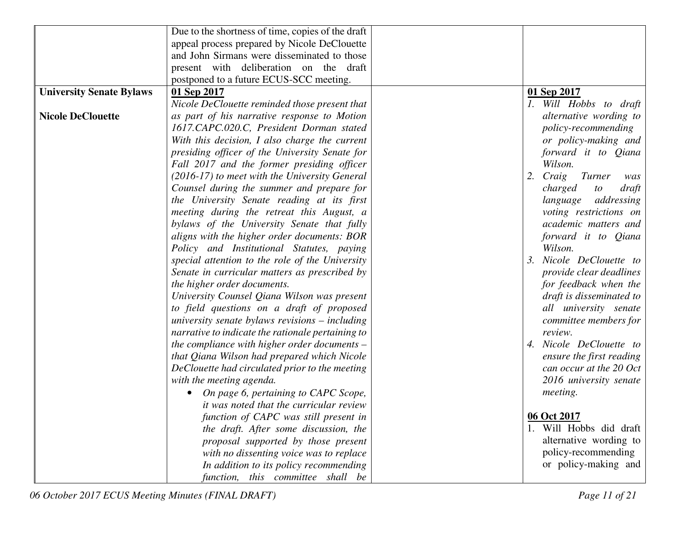|                                 | Due to the shortness of time, copies of the draft |                              |
|---------------------------------|---------------------------------------------------|------------------------------|
|                                 | appeal process prepared by Nicole DeClouette      |                              |
|                                 | and John Sirmans were disseminated to those       |                              |
|                                 | present with deliberation on the draft            |                              |
|                                 | postponed to a future ECUS-SCC meeting.           |                              |
| <b>University Senate Bylaws</b> | 01 Sep 2017                                       | 01 Sep 2017                  |
|                                 | Nicole DeClouette reminded those present that     | 1. Will Hobbs to draft       |
| <b>Nicole DeClouette</b>        | as part of his narrative response to Motion       | alternative wording to       |
|                                 | 1617.CAPC.020.C, President Dorman stated          | policy-recommending          |
|                                 | With this decision, I also charge the current     | or policy-making and         |
|                                 | presiding officer of the University Senate for    | forward it to Qiana          |
|                                 | Fall 2017 and the former presiding officer        | Wilson.                      |
|                                 | (2016-17) to meet with the University General     | Turner<br>2.<br>Craig<br>was |
|                                 | Counsel during the summer and prepare for         | charged<br>draft<br>to       |
|                                 | the University Senate reading at its first        | language<br>addressing       |
|                                 | meeting during the retreat this August, a         | voting restrictions on       |
|                                 | bylaws of the University Senate that fully        | academic matters and         |
|                                 | aligns with the higher order documents: BOR       | forward it to Qiana          |
|                                 | Policy and Institutional Statutes, paying         | Wilson.                      |
|                                 | special attention to the role of the University   | Nicole DeClouette to<br>3.   |
|                                 | Senate in curricular matters as prescribed by     | provide clear deadlines      |
|                                 | the higher order documents.                       | for feedback when the        |
|                                 | University Counsel Qiana Wilson was present       | draft is disseminated to     |
|                                 | to field questions on a draft of proposed         | all university senate        |
|                                 | university senate bylaws revisions $-$ including  | committee members for        |
|                                 | narrative to indicate the rationale pertaining to | review.                      |
|                                 | the compliance with higher order documents $-$    | 4. Nicole DeClouette to      |
|                                 | that Qiana Wilson had prepared which Nicole       | ensure the first reading     |
|                                 | DeClouette had circulated prior to the meeting    | can occur at the 20 Oct      |
|                                 | with the meeting agenda.                          | 2016 university senate       |
|                                 | On page 6, pertaining to CAPC Scope,              | <i>meeting.</i>              |
|                                 | it was noted that the curricular review           |                              |
|                                 | function of CAPC was still present in             | 06 Oct 2017                  |
|                                 | the draft. After some discussion, the             | 1. Will Hobbs did draft      |
|                                 | proposal supported by those present               | alternative wording to       |
|                                 | with no dissenting voice was to replace           | policy-recommending          |
|                                 | In addition to its policy recommending            | or policy-making and         |
|                                 | function, this committee shall be                 |                              |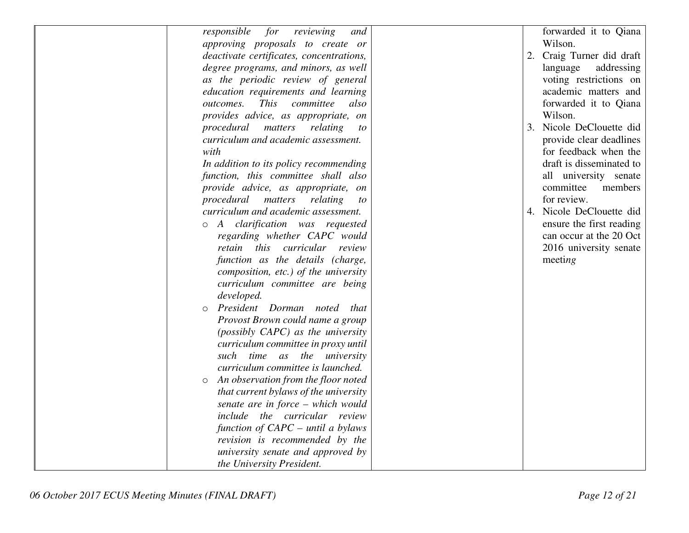| responsible<br>for<br>reviewing<br>and         | forwarded it to Qiana     |
|------------------------------------------------|---------------------------|
| approving proposals to create or               | Wilson.                   |
| deactivate certificates, concentrations,       | 2. Craig Turner did draft |
|                                                |                           |
| degree programs, and minors, as well           | language<br>addressing    |
| as the periodic review of general              | voting restrictions on    |
| education requirements and learning            | academic matters and      |
| outcomes.<br><i>This</i><br>committee<br>also  | forwarded it to Qiana     |
| provides advice, as appropriate, on            | Wilson.                   |
| procedural matters<br>relating<br>to           | 3. Nicole DeClouette did  |
| curriculum and academic assessment.            | provide clear deadlines   |
| with                                           | for feedback when the     |
| In addition to its policy recommending         | draft is disseminated to  |
| function, this committee shall also            | all university senate     |
| provide advice, as appropriate, on             | committee<br>members      |
| procedural matters<br>relating<br>to           | for review.               |
| curriculum and academic assessment.            | 4. Nicole DeClouette did  |
| o A clarification was requested                | ensure the first reading  |
| regarding whether CAPC would                   | can occur at the 20 Oct   |
| retain this curricular review                  | 2016 university senate    |
| function as the details (charge,               | meeting                   |
| composition, etc.) of the university           |                           |
| curriculum committee are being                 |                           |
| developed.                                     |                           |
| President Dorman noted that<br>$\circ$         |                           |
| Provost Brown could name a group               |                           |
| (possibly CAPC) as the university              |                           |
| curriculum committee in proxy until            |                           |
|                                                |                           |
| such time as the university                    |                           |
| curriculum committee is launched.              |                           |
| An observation from the floor noted<br>$\circ$ |                           |
| that current bylaws of the university          |                           |
| senate are in force – which would              |                           |
| include the curricular review                  |                           |
| function of $CAPC$ – until a bylaws            |                           |
| revision is recommended by the                 |                           |
| university senate and approved by              |                           |
| the University President.                      |                           |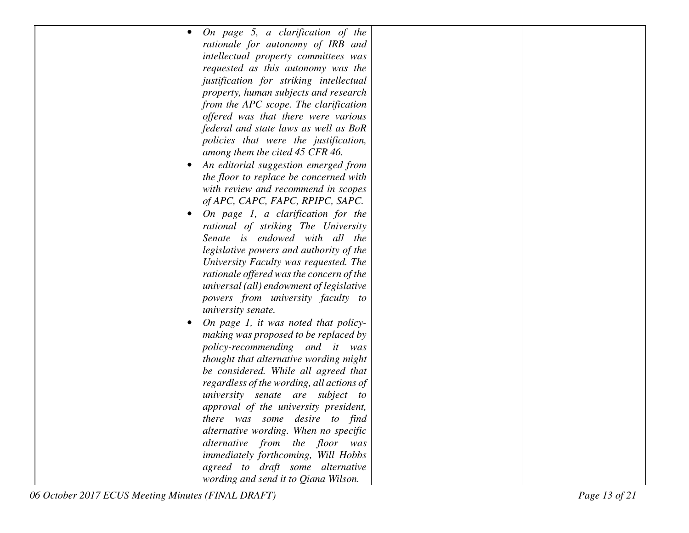| On page 5, a clarification of the         |
|-------------------------------------------|
| rationale for autonomy of IRB and         |
| intellectual property committees was      |
| requested as this autonomy was the        |
| justification for striking intellectual   |
| property, human subjects and research     |
| from the APC scope. The clarification     |
| offered was that there were various       |
| federal and state laws as well as BoR     |
| policies that were the justification,     |
| among them the cited 45 CFR 46.           |
| An editorial suggestion emerged from      |
| the floor to replace be concerned with    |
| with review and recommend in scopes       |
| of APC, CAPC, FAPC, RPIPC, SAPC.          |
| On page 1, a clarification for the        |
| rational of striking The University       |
| Senate is endowed with all the            |
| legislative powers and authority of the   |
| University Faculty was requested. The     |
| rationale offered was the concern of the  |
| universal (all) endowment of legislative  |
| powers from university faculty to         |
| university senate.                        |
| On page 1, it was noted that policy-      |
| making was proposed to be replaced by     |
| policy-recommending and it<br>was         |
| thought that alternative wording might    |
| be considered. While all agreed that      |
| regardless of the wording, all actions of |
| university senate are subject to          |
| approval of the university president,     |
| there was some desire to find             |
| alternative wording. When no specific     |
| alternative from the floor was            |
| immediately forthcoming, Will Hobbs       |
| agreed to draft some alternative          |
| wording and send it to Qiana Wilson.      |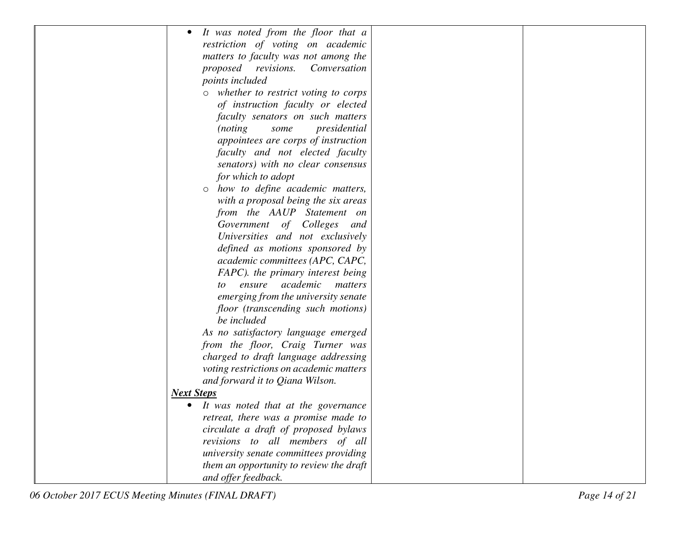| It was noted from the floor that a<br>$\bullet$ |  |
|-------------------------------------------------|--|
| restriction of voting on academic               |  |
| matters to faculty was not among the            |  |
| proposed revisions.<br>Conversation             |  |
| points included                                 |  |
| whether to restrict voting to corps<br>$\circ$  |  |
| of instruction faculty or elected               |  |
| faculty senators on such matters                |  |
| presidential<br><i>(noting)</i><br>some         |  |
| appointees are corps of instruction             |  |
| faculty and not elected faculty                 |  |
| senators) with no clear consensus               |  |
| for which to adopt                              |  |
| how to define academic matters,<br>$\circ$      |  |
| with a proposal being the six areas             |  |
| from the AAUP Statement on                      |  |
| Government<br>of Colleges<br>and                |  |
| Universities and not exclusively                |  |
| defined as motions sponsored by                 |  |
| academic committees (APC, CAPC,                 |  |
| FAPC). the primary interest being               |  |
| academic<br>ensure<br>matters<br>to             |  |
| emerging from the university senate             |  |
| floor (transcending such motions)               |  |
| be included                                     |  |
| As no satisfactory language emerged             |  |
| from the floor, Craig Turner was                |  |
| charged to draft language addressing            |  |
| voting restrictions on academic matters         |  |
| and forward it to Qiana Wilson.                 |  |
| <b>Next Steps</b>                               |  |
| • It was noted that at the governance           |  |
| retreat, there was a promise made to            |  |
| circulate a draft of proposed bylaws            |  |
| revisions to all members of all                 |  |
| university senate committees providing          |  |
| them an opportunity to review the draft         |  |
| and offer feedback.                             |  |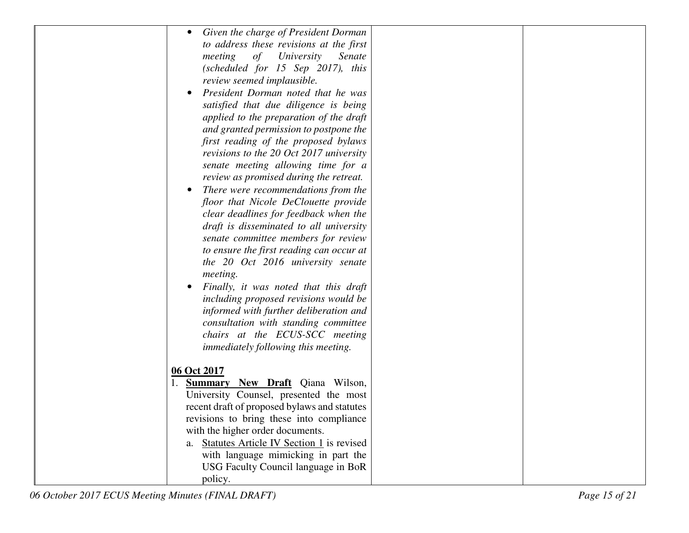| Given the charge of President Dorman               |  |
|----------------------------------------------------|--|
| to address these revisions at the first            |  |
| of<br>University<br>meeting<br>Senate              |  |
| (scheduled for $15$ Sep $2017$ ), this             |  |
| review seemed implausible.                         |  |
| President Dorman noted that he was<br>$\bullet$    |  |
| satisfied that due diligence is being              |  |
| applied to the preparation of the draft            |  |
| and granted permission to postpone the             |  |
| first reading of the proposed bylaws               |  |
| revisions to the 20 Oct 2017 university            |  |
| senate meeting allowing time for a                 |  |
| review as promised during the retreat.             |  |
| There were recommendations from the<br>$\bullet$   |  |
| floor that Nicole DeClouette provide               |  |
| clear deadlines for feedback when the              |  |
| draft is disseminated to all university            |  |
| senate committee members for review                |  |
| to ensure the first reading can occur at           |  |
| the 20 Oct 2016 university senate                  |  |
| <i>meeting.</i>                                    |  |
| Finally, it was noted that this draft<br>$\bullet$ |  |
| including proposed revisions would be              |  |
| informed with further deliberation and             |  |
| consultation with standing committee               |  |
| chairs at the ECUS-SCC meeting                     |  |
| <i>immediately following this meeting.</i>         |  |
|                                                    |  |
| 06 Oct 2017                                        |  |
| <b>Summary New Draft</b> Qiana Wilson,             |  |
| University Counsel, presented the most             |  |
| recent draft of proposed bylaws and statutes       |  |
| revisions to bring these into compliance           |  |
| with the higher order documents.                   |  |
| a. Statutes Article IV Section 1 is revised        |  |
| with language mimicking in part the                |  |
| USG Faculty Council language in BoR                |  |
| policy.                                            |  |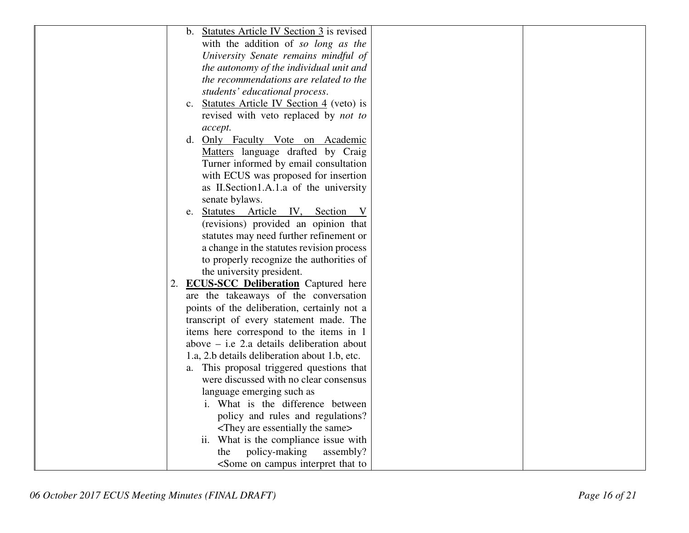| b. Statutes Article IV Section 3 is revised                     |
|-----------------------------------------------------------------|
| with the addition of so long as the                             |
| University Senate remains mindful of                            |
| the autonomy of the individual unit and                         |
| the recommendations are related to the                          |
| students' educational process.                                  |
| <b>Statutes Article IV Section 4</b> (veto) is<br>$c_{\cdot}$   |
| revised with veto replaced by <i>not to</i>                     |
| accept.                                                         |
| Only Faculty Vote on Academic<br>d.                             |
| Matters language drafted by Craig                               |
| Turner informed by email consultation                           |
| with ECUS was proposed for insertion                            |
| as II. Section 1.A.1.a of the university                        |
| senate bylaws.                                                  |
| Statutes Article IV, Section V<br>e.                            |
| (revisions) provided an opinion that                            |
| statutes may need further refinement or                         |
| a change in the statutes revision process                       |
| to properly recognize the authorities of                        |
| the university president.                                       |
| <b>ECUS-SCC Deliberation</b> Captured here<br>2.                |
| are the takeaways of the conversation                           |
| points of the deliberation, certainly not a                     |
| transcript of every statement made. The                         |
| items here correspond to the items in 1                         |
| above $-$ i.e 2.a details deliberation about                    |
| 1.a, 2.b details deliberation about 1.b, etc.                   |
| a. This proposal triggered questions that                       |
| were discussed with no clear consensus                          |
| language emerging such as                                       |
| i. What is the difference between                               |
| policy and rules and regulations?                               |
| <they are="" essentially="" same="" the=""></they>              |
| ii. What is the compliance issue with                           |
| assembly?                                                       |
| policy-making<br>the                                            |
| <some campus="" interpret="" on="" th="" that="" to<=""></some> |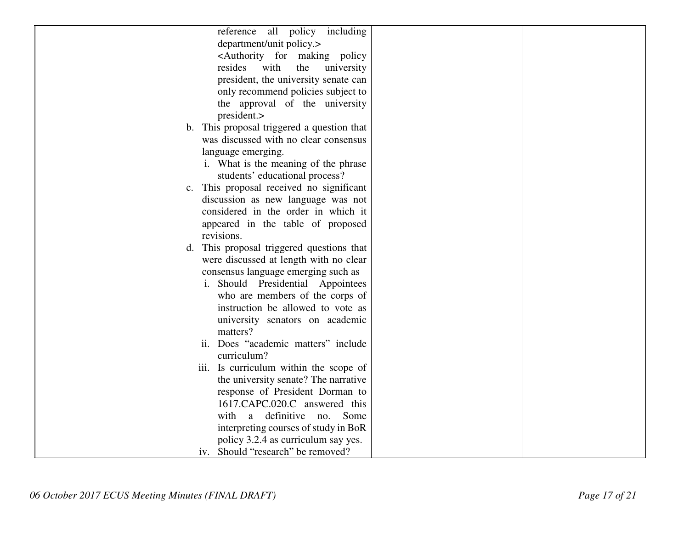| reference all policy including                            |
|-----------------------------------------------------------|
| department/unit policy.>                                  |
| <authority for="" making="" policy<="" td=""></authority> |
| resides<br>with<br>the<br>university                      |
| president, the university senate can                      |
| only recommend policies subject to                        |
| the approval of the university                            |
| president.>                                               |
| b. This proposal triggered a question that                |
| was discussed with no clear consensus                     |
| language emerging.                                        |
| i. What is the meaning of the phrase                      |
| students' educational process?                            |
| c. This proposal received no significant                  |
| discussion as new language was not                        |
| considered in the order in which it                       |
| appeared in the table of proposed                         |
| revisions.                                                |
| This proposal triggered questions that<br>d.              |
| were discussed at length with no clear                    |
| consensus language emerging such as                       |
| i. Should Presidential Appointees                         |
| who are members of the corps of                           |
| instruction be allowed to vote as                         |
| university senators on academic                           |
| matters?                                                  |
| ii. Does "academic matters" include                       |
| curriculum?                                               |
| iii. Is curriculum within the scope of                    |
| the university senate? The narrative                      |
| response of President Dorman to                           |
| 1617.CAPC.020.C answered this                             |
| with a definitive no. Some                                |
| interpreting courses of study in BoR                      |
| policy 3.2.4 as curriculum say yes.                       |
| iv. Should "research" be removed?                         |
|                                                           |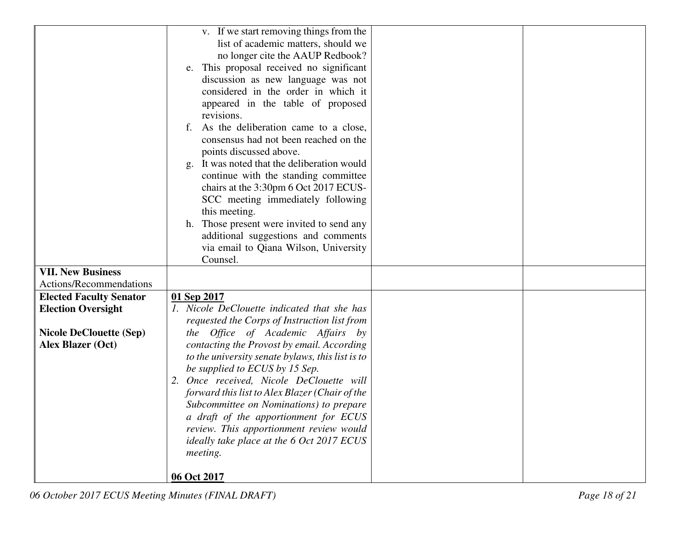|                                | v. If we start removing things from the          |
|--------------------------------|--------------------------------------------------|
|                                | list of academic matters, should we              |
|                                | no longer cite the AAUP Redbook?                 |
|                                | e. This proposal received no significant         |
|                                | discussion as new language was not               |
|                                | considered in the order in which it              |
|                                | appeared in the table of proposed                |
|                                | revisions.                                       |
|                                | As the deliberation came to a close,<br>f.       |
|                                | consensus had not been reached on the            |
|                                | points discussed above.                          |
|                                | It was noted that the deliberation would<br>g.   |
|                                | continue with the standing committee             |
|                                | chairs at the 3:30pm 6 Oct 2017 ECUS-            |
|                                | SCC meeting immediately following                |
|                                | this meeting.                                    |
|                                | h. Those present were invited to send any        |
|                                | additional suggestions and comments              |
|                                | via email to Qiana Wilson, University            |
|                                | Counsel.                                         |
| <b>VII. New Business</b>       |                                                  |
| Actions/Recommendations        |                                                  |
| <b>Elected Faculty Senator</b> | 01 Sep 2017                                      |
| <b>Election Oversight</b>      | 1. Nicole DeClouette indicated that she has      |
|                                | requested the Corps of Instruction list from     |
| <b>Nicole DeClouette (Sep)</b> | the Office of Academic Affairs by                |
| <b>Alex Blazer (Oct)</b>       | contacting the Provost by email. According       |
|                                | to the university senate bylaws, this list is to |
|                                | be supplied to ECUS by 15 Sep.                   |
|                                | Once received, Nicole DeClouette will<br>2.      |
|                                | forward this list to Alex Blazer (Chair of the   |
|                                | Subcommittee on Nominations) to prepare          |
|                                | a draft of the apportionment for ECUS            |
|                                | review. This apportionment review would          |
|                                | ideally take place at the 6 Oct 2017 ECUS        |
|                                | meeting.                                         |
|                                | 06 Oct 2017                                      |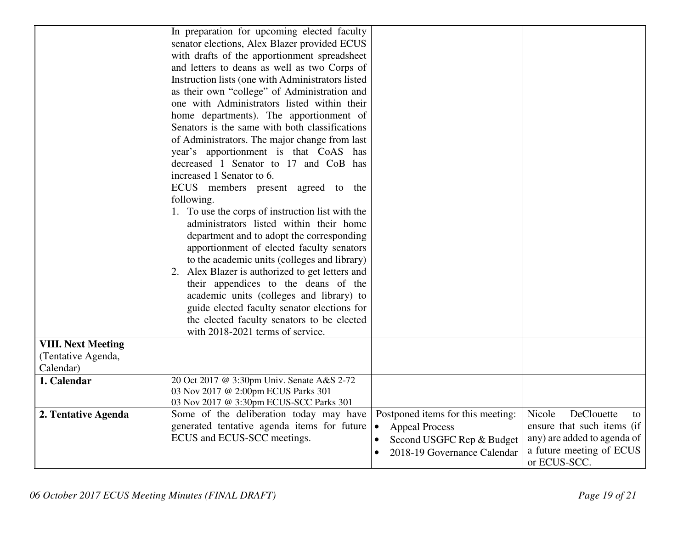|                           | In preparation for upcoming elected faculty       |                                        |                             |
|---------------------------|---------------------------------------------------|----------------------------------------|-----------------------------|
|                           | senator elections, Alex Blazer provided ECUS      |                                        |                             |
|                           | with drafts of the apportionment spreadsheet      |                                        |                             |
|                           | and letters to deans as well as two Corps of      |                                        |                             |
|                           | Instruction lists (one with Administrators listed |                                        |                             |
|                           | as their own "college" of Administration and      |                                        |                             |
|                           | one with Administrators listed within their       |                                        |                             |
|                           | home departments). The apportionment of           |                                        |                             |
|                           | Senators is the same with both classifications    |                                        |                             |
|                           | of Administrators. The major change from last     |                                        |                             |
|                           | year's apportionment is that CoAS has             |                                        |                             |
|                           | decreased 1 Senator to 17 and CoB has             |                                        |                             |
|                           | increased 1 Senator to 6.                         |                                        |                             |
|                           | ECUS members present agreed to the                |                                        |                             |
|                           | following.                                        |                                        |                             |
|                           | 1. To use the corps of instruction list with the  |                                        |                             |
|                           | administrators listed within their home           |                                        |                             |
|                           | department and to adopt the corresponding         |                                        |                             |
|                           | apportionment of elected faculty senators         |                                        |                             |
|                           | to the academic units (colleges and library)      |                                        |                             |
|                           | 2. Alex Blazer is authorized to get letters and   |                                        |                             |
|                           | their appendices to the deans of the              |                                        |                             |
|                           | academic units (colleges and library) to          |                                        |                             |
|                           | guide elected faculty senator elections for       |                                        |                             |
|                           | the elected faculty senators to be elected        |                                        |                             |
|                           | with 2018-2021 terms of service.                  |                                        |                             |
| <b>VIII. Next Meeting</b> |                                                   |                                        |                             |
| (Tentative Agenda,        |                                                   |                                        |                             |
| Calendar)                 |                                                   |                                        |                             |
| 1. Calendar               | 20 Oct 2017 @ 3:30pm Univ. Senate A&S 2-72        |                                        |                             |
|                           | 03 Nov 2017 @ 2:00pm ECUS Parks 301               |                                        |                             |
|                           | 03 Nov 2017 @ 3:30pm ECUS-SCC Parks 301           |                                        |                             |
| 2. Tentative Agenda       | Some of the deliberation today may have           | Postponed items for this meeting:      | DeClouette<br>Nicole<br>to  |
|                           | generated tentative agenda items for future       | <b>Appeal Process</b><br>∣ ●           | ensure that such items (if  |
|                           | ECUS and ECUS-SCC meetings.                       | Second USGFC Rep & Budget<br>$\bullet$ | any) are added to agenda of |
|                           |                                                   | 2018-19 Governance Calendar            | a future meeting of ECUS    |
|                           |                                                   |                                        | or ECUS-SCC.                |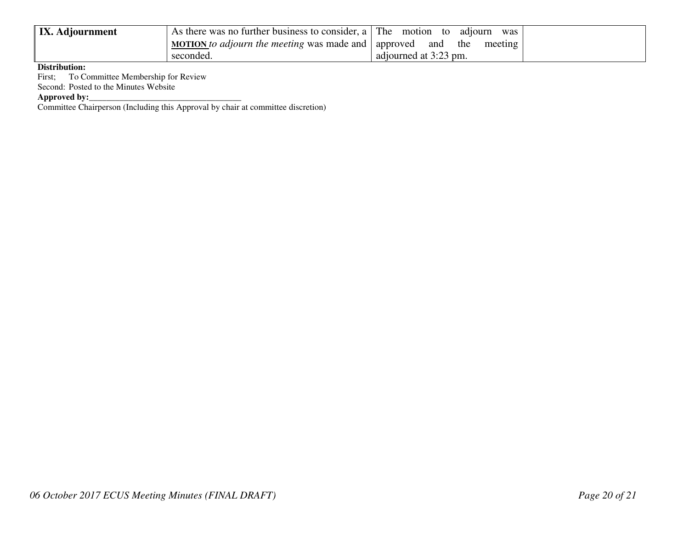| <b>IX.</b> Adjournment | As there was no further business to consider, a $\Gamma$ The motion to | adiourn<br>was        |  |
|------------------------|------------------------------------------------------------------------|-----------------------|--|
|                        | <u>MOTION</u> to adjourn the meeting was made and   approved           | and the<br>meeting    |  |
|                        | seconded.                                                              | adjourned at 3:23 pm. |  |

**Distribution:** 

First; To Committee Membership for Review

Second: Posted to the Minutes Website

**Approved by:**<br>Committee Chairperson (Including this Approval by chair at committee discretion)